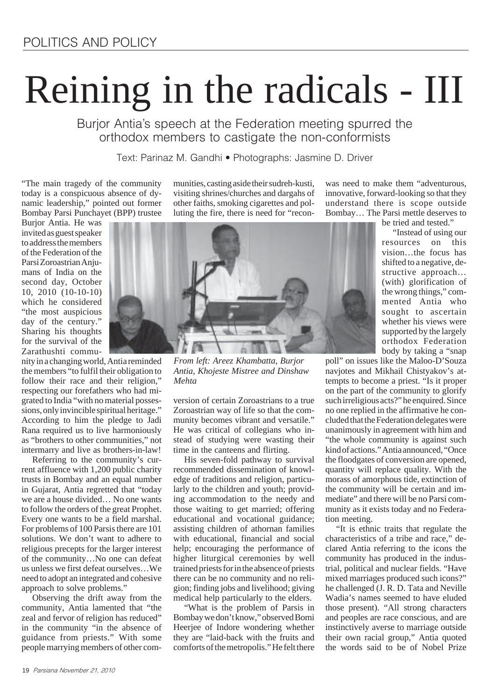# Reining in the radicals - III

Burjor Antia's speech at the Federation meeting spurred the orthodox members to castigate the non-conformists

Text: Parinaz M. Gandhi • Photographs: Jasmine D. Driver

"The main tragedy of the community today is a conspicuous absence of dynamic leadership," pointed out former Bombay Parsi Punchayet (BPP) trustee

Burjor Antia. He was invited as guest speaker to address the members of the Federation of the Parsi Zoroastrian Anjumans of India on the second day, October 10, 2010 (10-10-10) which he considered "the most auspicious day of the century." Sharing his thoughts for the survival of the Zarathushti commu-

nity in a changing world, Antia reminded the members "to fulfil their obligation to follow their race and their religion," respecting our forefathers who had migrated to India "with no material possessions, only invincible spiritual heritage." According to him the pledge to Jadi Rana required us to live harmoniously as "brothers to other communities," not intermarry and live as brothers-in-law!

Referring to the community's current affluence with 1,200 public charity trusts in Bombay and an equal number in Gujarat, Antia regretted that "today we are a house divided… No one wants to follow the orders of the great Prophet. Every one wants to be a field marshal. For problems of 100 Parsis there are 101 solutions. We don't want to adhere to religious precepts for the larger interest of the community…No one can defeat us unless we first defeat ourselves…We need to adopt an integrated and cohesive approach to solve problems."

Observing the drift away from the community, Antia lamented that "the zeal and fervor of religion has reduced" in the community "in the absence of guidance from priests." With some people marrying members of other communities, casting aside their sudreh-kusti, visiting shrines/churches and dargahs of other faiths, smoking cigarettes and polluting the fire, there is need for "recon-



*From left: Areez Khambatta, Burjor Antia, Khojeste Mistree and Dinshaw Mehta*

version of certain Zoroastrians to a true Zoroastrian way of life so that the community becomes vibrant and versatile." He was critical of collegians who instead of studying were wasting their time in the canteens and flirting.

His seven-fold pathway to survival recommended dissemination of knowledge of traditions and religion, particularly to the children and youth; providing accommodation to the needy and those waiting to get married; offering educational and vocational guidance; assisting children of athornan families with educational, financial and social help; encouraging the performance of higher liturgical ceremonies by well trained priests for in the absence of priests there can be no community and no religion; finding jobs and livelihood; giving medical help particularly to the elders.

"What is the problem of Parsis in Bombay we don't know," observed Bomi Heerjee of Indore wondering whether they are "laid-back with the fruits and comforts of the metropolis." He felt there

was need to make them "adventurous, innovative, forward-looking so that they understand there is scope outside Bombay… The Parsi mettle deserves to

be tried and tested."

"Instead of using our resources on this vision…the focus has shifted to a negative, destructive approach… (with) glorification of the wrong things," commented Antia who sought to ascertain whether his views were supported by the largely orthodox Federation body by taking a "snap

poll" on issues like the Maloo-D'Souza navjotes and Mikhail Chistyakov's attempts to become a priest. "Is it proper on the part of the community to glorify such irreligious acts?" he enquired. Since no one replied in the affirmative he concluded that the Federation delegates were unanimously in agreement with him and "the whole community is against such kind of actions." Antia announced, "Once the floodgates of conversion are opened, quantity will replace quality. With the morass of amorphous tide, extinction of the community will be certain and immediate" and there will be no Parsi community as it exists today and no Federation meeting.

"It is ethnic traits that regulate the characteristics of a tribe and race," declared Antia referring to the icons the community has produced in the industrial, political and nuclear fields. "Have mixed marriages produced such icons?" he challenged (J. R. D. Tata and Neville Wadia's names seemed to have eluded those present). "All strong characters and peoples are race conscious, and are instinctively averse to marriage outside their own racial group," Antia quoted the words said to be of Nobel Prize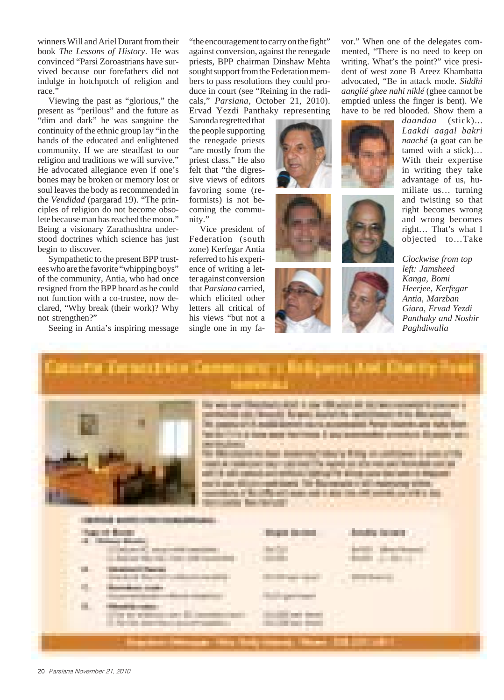winners Will and Ariel Durant from their book *The Lessons of History*. He was convinced "Parsi Zoroastrians have survived because our forefathers did not indulge in hotchpotch of religion and race."

Viewing the past as "glorious," the present as "perilous" and the future as "dim and dark" he was sanguine the continuity of the ethnic group lay "in the hands of the educated and enlightened community. If we are steadfast to our religion and traditions we will survive." He advocated allegiance even if one's bones may be broken or memory lost or soul leaves the body as recommended in the *Vendidad* (pargarad 19). "The principles of religion do not become obsolete because man has reached the moon." Being a visionary Zarathushtra understood doctrines which science has just begin to discover.

Sympathetic to the present BPP trustees who are the favorite "whipping boys" of the community, Antia, who had once resigned from the BPP board as he could not function with a co-trustee, now declared, "Why break (their work)? Why not strengthen?"

Seeing in Antia's inspiring message

"the encouragement to carry on the fight" against conversion, against the renegade priests, BPP chairman Dinshaw Mehta sought support from the Federation members to pass resolutions they could produce in court (see "Reining in the radicals," *Parsiana*, October 21, 2010). Ervad Yezdi Panthaky representing

Saronda regretted that the people supporting the renegade priests "are mostly from the priest class." He also felt that "the digressive views of editors favoring some (reformists) is not becoming the community."

Vice president of Federation (south zone) Kerfegar Antia referred to his experience of writing a letter against conversion that *Parsiana* carried, which elicited other letters all critical of his views "but not a single one in my fa-







vor." When one of the delegates commented, "There is no need to keep on writing. What's the point?" vice president of west zone B Areez Khambatta advocated, "Be in attack mode. *Siddhi aanglié ghee nahi niklé* (ghee cannot be emptied unless the finger is bent). We have to be red blooded. Show them a

*daandaa* (stick)... *Laakdi aagal bakri naaché* (a goat can be tamed with a stick)… With their expertise in writing they take advantage of us, humiliate us… turning and twisting so that right becomes wrong and wrong becomes right… That's what I objected to…Take

*Clockwise from top left: Jamsheed Kanga, Bomi Heerjee, Kerfegar Antia, Marzban Giara, Ervad Yezdi Panthaky and Noshir Paghdiwalla*